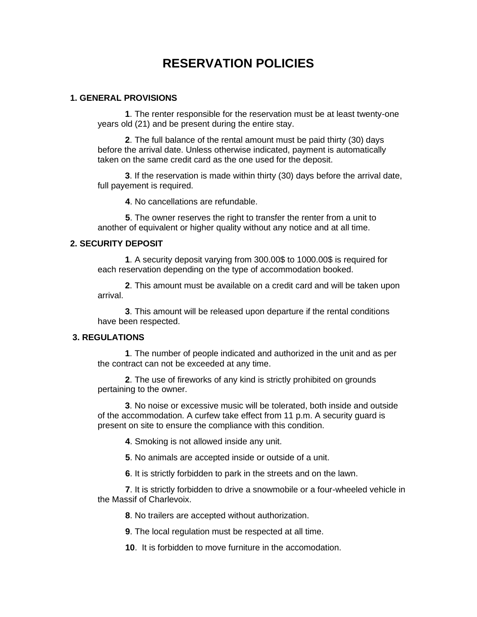# **RESERVATION POLICIES**

#### **1. GENERAL PROVISIONS**

**1**. The renter responsible for the reservation must be at least twenty-one years old (21) and be present during the entire stay.

**2**. The full balance of the rental amount must be paid thirty (30) days before the arrival date. Unless otherwise indicated, payment is automatically taken on the same credit card as the one used for the deposit.

**3**. If the reservation is made within thirty (30) days before the arrival date, full payement is required.

**4**. No cancellations are refundable.

**5**. The owner reserves the right to transfer the renter from a unit to another of equivalent or higher quality without any notice and at all time.

#### **2. SECURITY DEPOSIT**

**1**. A security deposit varying from 300.00\$ to 1000.00\$ is required for each reservation depending on the type of accommodation booked.

**2**. This amount must be available on a credit card and will be taken upon arrival.

**3**. This amount will be released upon departure if the rental conditions have been respected.

#### **3. REGULATIONS**

**1**. The number of people indicated and authorized in the unit and as per the contract can not be exceeded at any time.

**2**. The use of fireworks of any kind is strictly prohibited on grounds pertaining to the owner.

**3**. No noise or excessive music will be tolerated, both inside and outside of the accommodation. A curfew take effect from 11 p.m. A security guard is present on site to ensure the compliance with this condition.

**4**. Smoking is not allowed inside any unit.

**5**. No animals are accepted inside or outside of a unit.

**6**. It is strictly forbidden to park in the streets and on the lawn.

**7**. It is strictly forbidden to drive a snowmobile or a four-wheeled vehicle in the Massif of Charlevoix.

**8**. No trailers are accepted without authorization.

**9**. The local regulation must be respected at all time.

**10**. It is forbidden to move furniture in the accomodation.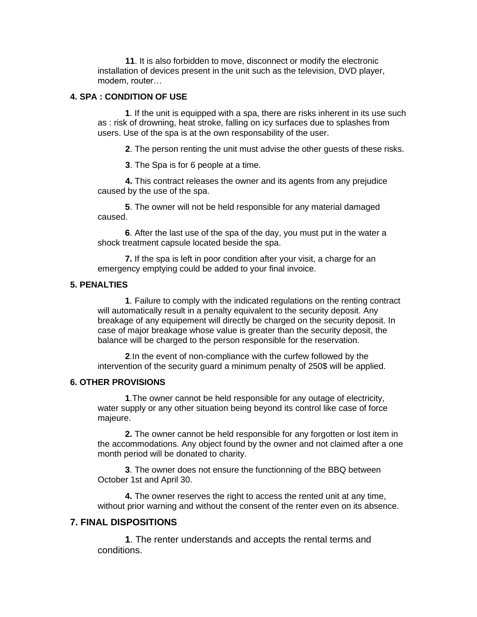**11**. It is also forbidden to move, disconnect or modify the electronic installation of devices present in the unit such as the television, DVD player, modem, router…

#### **4. SPA : CONDITION OF USE**

**1**. If the unit is equipped with a spa, there are risks inherent in its use such as : risk of drowning, heat stroke, falling on icy surfaces due to splashes from users. Use of the spa is at the own responsability of the user.

**2**. The person renting the unit must advise the other guests of these risks.

**3**. The Spa is for 6 people at a time.

**4.** This contract releases the owner and its agents from any prejudice caused by the use of the spa.

**5**. The owner will not be held responsible for any material damaged caused.

**6**. After the last use of the spa of the day, you must put in the water a shock treatment capsule located beside the spa.

**7.** If the spa is left in poor condition after your visit, a charge for an emergency emptying could be added to your final invoice.

### **5. PENALTIES**

**1**. Failure to comply with the indicated regulations on the renting contract will automatically result in a penalty equivalent to the security deposit. Any breakage of any equipement will directly be charged on the security deposit. In case of major breakage whose value is greater than the security deposit, the balance will be charged to the person responsible for the reservation.

**2**.In the event of non-compliance with the curfew followed by the intervention of the security guard a minimum penalty of 250\$ will be applied.

#### **6. OTHER PROVISIONS**

**1**.The owner cannot be held responsible for any outage of electricity, water supply or any other situation being beyond its control like case of force majeure.

**2.** The owner cannot be held responsible for any forgotten or lost item in the accommodations. Any object found by the owner and not claimed after a one month period will be donated to charity.

**3**. The owner does not ensure the functionning of the BBQ between October 1st and April 30.

**4.** The owner reserves the right to access the rented unit at any time, without prior warning and without the consent of the renter even on its absence.

## **7. FINAL DISPOSITIONS**

**1**. The renter understands and accepts the rental terms and conditions.